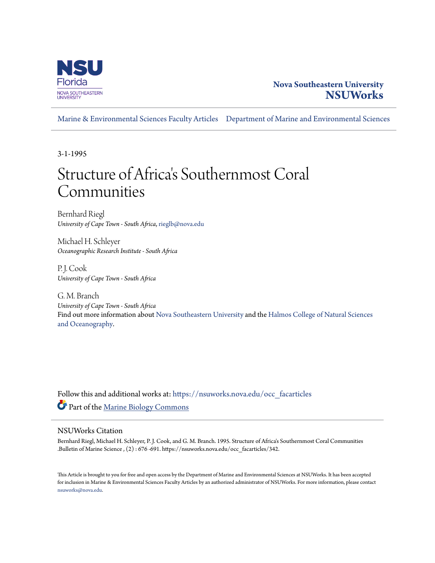

# **Nova Southeastern University [NSUWorks](https://nsuworks.nova.edu?utm_source=nsuworks.nova.edu%2Focc_facarticles%2F342&utm_medium=PDF&utm_campaign=PDFCoverPages)**

[Marine & Environmental Sciences Faculty Articles](https://nsuworks.nova.edu/occ_facarticles?utm_source=nsuworks.nova.edu%2Focc_facarticles%2F342&utm_medium=PDF&utm_campaign=PDFCoverPages) [Department of Marine and Environmental Sciences](https://nsuworks.nova.edu/cnso_mes?utm_source=nsuworks.nova.edu%2Focc_facarticles%2F342&utm_medium=PDF&utm_campaign=PDFCoverPages)

3-1-1995

# Structure of Africa 's Southernmost Coral Communities

Bernhard Riegl *University of Cape Town - South Africa*, rieglb@nova.edu

Michael H. Schleyer *Oceanographic Research Institute - South Africa*

P. J. Cook *University of Cape Town - South Africa*

G. M. Branch *University of Cape Town - South Africa* Find out more information about [Nova Southeastern University](http://www.nova.edu/) and the [Halmos College of Natural Sciences](https://cnso.nova.edu) [and Oceanography.](https://cnso.nova.edu)

Follow this and additional works at: [https://nsuworks.nova.edu/occ\\_facarticles](https://nsuworks.nova.edu/occ_facarticles?utm_source=nsuworks.nova.edu%2Focc_facarticles%2F342&utm_medium=PDF&utm_campaign=PDFCoverPages) Part of the [Marine Biology Commons](http://network.bepress.com/hgg/discipline/1126?utm_source=nsuworks.nova.edu%2Focc_facarticles%2F342&utm_medium=PDF&utm_campaign=PDFCoverPages)

# NSUWorks Citation

Bernhard Riegl, Michael H. Schleyer, P. J. Cook, and G. M. Branch. 1995. Structure of Africa's Southernmost Coral Communities .Bulletin of Marine Science , (2) : 676 -691. https://nsuworks.nova.edu/occ\_facarticles/342.

This Article is brought to you for free and open access by the Department of Marine and Environmental Sciences at NSUWorks. It has been accepted for inclusion in Marine & Environmental Sciences Faculty Articles by an authorized administrator of NSUWorks. For more information, please contact [nsuworks@nova.edu.](mailto:nsuworks@nova.edu)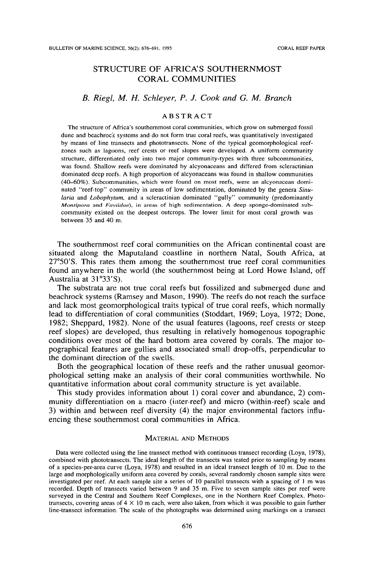## STRUCTURE OF AFRICA'S SOUTHERNMOST CORAL COMMUNITIES

### *B. Riegl, M. H. Schleyer, P. J. Cook and* G. *M, Branch*

#### ABSTRACT

The structure of Africa's southernmost coral communities, which grow on submerged fossil dune and beachroek systems and do not form true coral reefs, was quantitatively investigated by means of line transects and phototransects, None of the typical geomorphological reefzones such as lagoons, reef crests or reef slopes were developed, A uniform community structure, differentiated only into two major community-types with three subcommunities, was found, Shallow reefs were dominated by alcyonaceans and differed from scleractinian dominated deep reefs, A high proportion of aleyonaceans was found in shallow communities (40-60%). Subcommunities. which were found on most reefs, were an alcyonacean dominated "reef-top" community in areas of low sedimentation, dominated by the genera *Sinu laria* and *Lobophytum*, and a scleractinian dominated "gully" community (predominantly *Montipora* and *Faviidae),* in areas of high sedimentation. A deep sponge-dominated subcommunity existed on the deepest outcrops. The lower limit for most coral growth was between 35 and 40 m.

The southernmost reef coral communities on the African continental coast are situated along the Maputaland coastline in northern Natal, South Africa, at *2rSO'S.* This rates them among the southernmost true reef coral communities found anywhere in the world (the southernmost being at Lord Howe Island, off Australia at 31°33'S).

The substrata are not true coral reefs but fossilized and submerged dune and beachrock systems (Ramsey and Mason, 1990). The reefs do not reach the surface and lack most geomorphological traits typical of true coral reefs, which normally lead to differentiation of coral communities (Stoddart, 1969; Loya, 1972; Done, 1982; Sheppard, 1982). None of the usual features (lagoons, reef crests or steep reef slopes) are developed, thus resulting in relatively homogenous topographic conditions over most of the hard bottom area covered by corals. The major topographical features are gullies and associated small drop-offs, perpendicular to the dominant direction of the swells.

Both the geographical location of these reefs and the rather unusual geomorphological setting make an analysis of their coral communities worthwhile. No quantitative information about coral community structure is yet available.

This study provides information about 1) coral cover and abundance, 2) community differentiation on a macro (inter-reef) and micro (within-reef) scale and 3) within and between reef diversity (4) the major environmental factors influencing these southernmost coral communities in Africa.

#### MATERIAL AND METHODS

Data were collected using the line transect method with continuous transect recording (Loya, 1978), combined with phototransects. The ideal length of the transects was tested prior to sampling by means of a species-per-area curve (Loya, 1978) and resulted in an ideal transect length of 10 m. Due to the large and morphologically uniform area covered by corals, several randomly chosen sample sites were investigated per reef. At each sample site a series of 10 parallel transects with a spacing of I m was recorded. Depth of transects varied between 9 and 35 m. Five to seven sample sites per reef were surveyed in the Central and Southern Reef Complexes, one in the Northern Reef Complex. Phototransects, covering areas of  $4 \times 10$  m each, were also taken, from which it was possible to gain further line-transect information. The scale of the photographs was determined using markings on a transect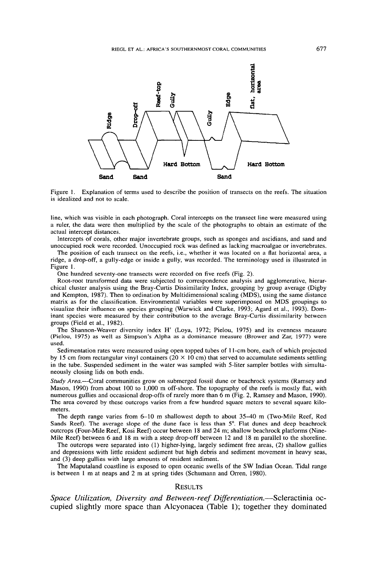

Figure I. Explanation of terms used to describe the position of transects on the reefs. The situation is idealized and not to scale.

line, which was visible in each photograph. Coral intercepts on the transect line were measured using a ruler, the data were then multiplied by the scale of the photographs to obtain an estimate of the actual intercept distances.

Intercepts of corals, other major invertebrate groups, such as sponges and ascidians, and sand and unoccupied rock were recorded. Unoccupied rock was defined as lacking macroalgae or invertebrates.

The position of each transect on the reefs, i.e., whether it was located on a flat horizontal area, a ridge, a drop-off, a gully-edge or inside a gully, was recorded. The terminology used is illustrated in Figure I.

One hundred seventy-one transects were recorded on five reefs (Fig. 2).

Root-root transformed data were subjected to correspondence analysis and agglomerative, hierarchical cluster analysis using the Bray-Curtis Dissimilarity Index, grouping by group average (Digby and Kempton, 1987). Then to ordination by Multidimensional scaling (MDS), using the same distance matrix as for the classification. Environmental variables were superimposed on MDS groupings to visualize their influence on species grouping (Warwick and Clarke, 1993; Agard et al., 1993). Dominant species were measured by their contribution to the average Bray-Curtis dissimilarity between groups (Ficld et aI., 1982).

The Shannon-Weaver diversity index H' (Loya, 1972; Pielou, 1975) and its evenness measure (Pielou, 1975) as well as Simpson's Alpha as a dominance measure (Brower and Zar, 1977) were used.

Sedimentation rates were measured using open topped tubes of II-cm bore, each of which projected by 15 cm from rectangular vinyl containers ( $20 \times 10$  cm) that served to accumulate sediments settling in the tube. Suspended sediment in the water was sampled with 5-liter sampler bottles with simultaneously closing lids on both ends.

*Study Area.-Coral* communities grow on submerged fossil dune or beachrock systems (Ramsey and Mason, 1990) from about 100 to 1,000 m off-shore. The topography of the reefs is mostly flat, with numerous gullies and occasional drop-offs of rarely more than 6 m (Fig. 2, Ramsey and Mason, 1990). The area covered by these outcrops varies from a few hundred square meters to several square kilometers.

The depth range varies from 6-10 m shallowest depth to about 35-40 m (Two-Mile Reef, Red Sands Reef). The average slope of the dune face is less than 5°. Flat dunes and deep beachrock outcrops (Four-Mile Reef, Kosi Reef) occur between 18 and 24 m; shallow beachrock platforms (Nine-Mile Reef) between 6 and 18 m with a steep drop-off between 12 and 18 m parallel to the shoreline.

The outcrops were separated into (1) higher-lying, largely sediment free areas, (2) shallow gullies and depressions with little resident sediment but high debris and sediment movement in heavy seas, and (3) deep gullies with large amounts of resident sediment.

The Maputaland coastline is exposed to open oceanic swells of the SW Indian Ocean. Tidal range is between I m at neaps and 2 m at spring tides (Schumann and Orren, 1980).

#### **RESULTS**

*Space Utilization, Diversity and Between-reef Dijferentiation.-Scleractinia* occupied slightly more space than Alcyonacea (Table 1); together they dominated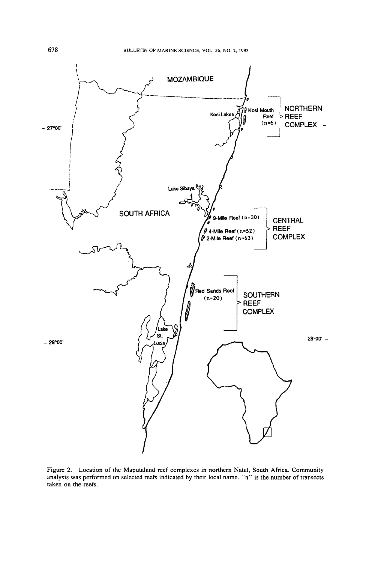

Figure 2. Location of the Maputaland reef complexes in northern Natal, South Africa. Community analysis was performed on selected reefs indicated by their local name. "n" is the number of transects taken on the reefs.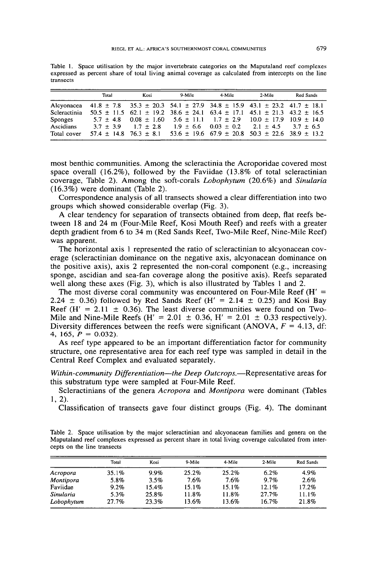Table 1. Space utilisation by the major invertebrate categories on the Maputaland reef complexes expressed as percent share of total living animal coverage as calculated from intercepts on the line transects

|                  | Total                                                                                      | Kosi                        | 9-Mile                                                                                          | 4-Mile | 2-Mile                                                   | Red Sands |
|------------------|--------------------------------------------------------------------------------------------|-----------------------------|-------------------------------------------------------------------------------------------------|--------|----------------------------------------------------------|-----------|
|                  | Alcyonacea 41.8 ± 7.8 35.3 ± 20.3 54.1 ± 27.9 34.8 ± 15.9 43.1 ± 23.2 41.7 ± 18.1          |                             |                                                                                                 |        |                                                          |           |
| Scleractinia     |                                                                                            |                             | $50.5 \pm 11.5$ 62.1 $\pm$ 19.2 38.6 $\pm$ 24.1 63.4 $\pm$ 17.1 45.1 $\pm$ 21.3 43.2 $\pm$ 16.5 |        |                                                          |           |
| Sponges          | $5.7 \pm 4.8$ 0.08 $\pm$ 1.60 5.6 $\pm$ 11.1 1.7 $\pm$ 2.9 10.0 $\pm$ 17.9 10.9 $\pm$ 14.0 |                             |                                                                                                 |        |                                                          |           |
| <b>Ascidians</b> |                                                                                            | $3.7 \pm 3.9$ 1.7 $\pm$ 2.8 |                                                                                                 |        | $1.9 \pm 6.6$ $0.03 \pm 0.2$ $2.1 \pm 4.5$ $3.7 \pm 6.5$ |           |
| Total cover      |                                                                                            |                             | $57.4 \pm 14.8$ 76.3 $\pm$ 8.1 53.6 $\pm$ 19.6 67.9 $\pm$ 20.8 50.3 $\pm$ 22.6 38.9 $\pm$ 13.2  |        |                                                          |           |

most benthic communities. Among the scleractinia the Acroporidae covered most space overall (16.2%), followed by the Faviidae (13.8% of total scleractinian coverage, Table 2). Among the soft-corals *Lobophytum* (20.6%) and *Sinularia* (16.3%) were dominant (Table 2).

Correspondence analysis of all transects showed a clear differentiation into two groups which showed considerable overlap (Fig. 3).

A clear tendency for separation of transects obtained from deep, flat reefs between 18 and 24 m (Four-Mile Reef, Kosi Mouth Reef) and reefs with a greater depth gradient from 6 to 34 m (Red Sands Reef, Two-Mile Reef, Nine-Mile Reef) was apparent.

The horizontal axis 1 represented the ratio of scleractinian to alcyonacean coverage (scleractinian dominance on the negative axis, alcyonacean dominance on the positive axis), axis 2 represented the non-coral component (e.g., increasing sponge, ascidian and sea-fan coverage along the positive axis). Reefs separated well along these axes (Fig. 3), which is also illustrated by Tables 1 and 2.

The most diverse coral community was encountered on Four-Mile Reef  $(H' =$ 2.24  $\pm$  0.36) followed by Red Sands Reef (H' = 2.14  $\pm$  0.25) and Kosi Bay Reef (H' =  $2.11 \pm 0.36$ ). The least diverse communities were found on Two-Mile and Nine-Mile Reefs (H' = 2.01  $\pm$  0.36, H' = 2.01  $\pm$  0.33 respectively). Diversity differences between the reefs were significant (ANOVA,  $F = 4.13$ , df: 4, 165,  $P = 0.032$ ).

As reef type appeared to be an important differentiation factor for community structure, one representative area for each reef type was sampled **in** detail **in** the Central Reef Complex and evaluated separately.

*Within-community Differentiation-the Deep Outcrops.-Representative* areas for this substratum type were sampled at Four-Mile Reef.

Scleractinians of the genera *Acropora* and *Montipora* were dominant (Tables 1, 2).

Classification of transects gave four distinct groups (Fig. 4). The dominant

Table 2. Space utilisation by the major scleractinian and alcyonacean families and genera on the Maputaland reef complexes expressed as percent share in total living coverage calculated from intercepts on the line transects

|            | Total | Kosi    | 9-Mile | 4-Mile | 2-Mile   | Red Sands |
|------------|-------|---------|--------|--------|----------|-----------|
| Acropora   | 35.1% | $9.9\%$ | 25.2%  | 25.2%  | 6.2%     | 4.9%      |
| Montipora  | 5.8%  | 3.5%    | 7.6%   | 7.6%   | 9.7%     | 2.6%      |
| Faviidae   | 9.2%  | 15.4%   | 15.1%  | 15.1%  | $12.1\%$ | $17.2\%$  |
| Sinularia  | 5.3%  | 25.8%   | 11.8%  | 11.8%  | 27.7%    | 11.1%     |
| Lobophytum | 27.7% | 23.3%   | 13.6%  | 13.6%  | 16.7%    | 21.8%     |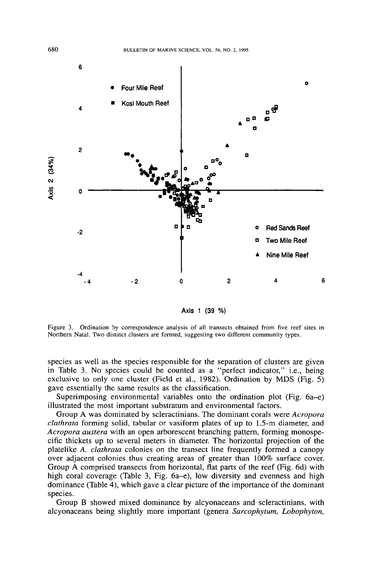

Axis 1 (39 %)

Figure 3. Ordination by correspondence analysis of all transects obtained from five reef sites in Northern Natal. Two distinct clusters are formed, suggesting two different community types.

species as well as the species responsible for the separation of clusters are given in Table 3. No species could be counted as a "perfect indicator," i.e., being exclusive to only one cluster (Field et aL, 1982). Ordination by MDS (Fig. 5) gave essentially the same results as the classification.

Superimposing environmental variables onto the ordination plot (Fig. 6a-e) illustrated the most important substratum and environmental factors.

Group A was dominated by scleractinians. The dominant corals were *Acropora clathrata* forming solid, tabular or vasiform plates of up to 1.5-m diameter, and *Acropora austera* with an open arborescent branching pattern, forming monospecific thickets up to several meters in diameter. The horizontal projection of the platelike *A. clathrata* colonies on the transect line frequently formed a canopy over adjacent colonies thus creating areas of greater than 100% surface cover. Group A comprised transects from horizontal, flat parts of the reef (Fig. 6d) with high coral coverage (Table 3, Fig. 6a–e), low diversity and evenness and high dominance (Table 4), which gave a clear picture of the importance of the dominant species.

Group B showed mixed dominance by alcyonaceans and scleractinians, with alcyonaceans being slightly more important (genera *Sarcophytum, Lobophyton,*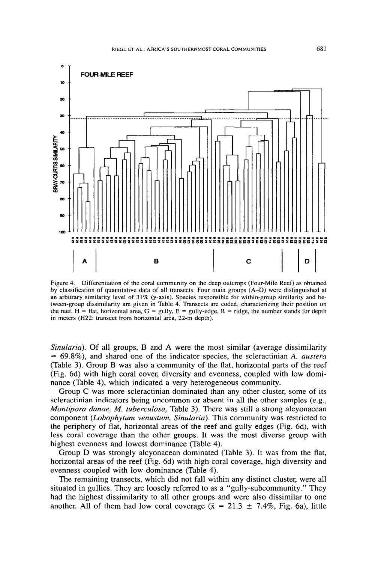

Figure 4. Differentiation of the coral community on the deep outcrops (Four-Mile Reef) as obtained by classification of quantitative data of all transects. Four main groups (A-D) were distinguished at an arbitrary similarity level of 31% (y-axis). Species responsible for within-group similarity and between-group dissimilarity are given in Table 4. Transects are coded, characterizing their position on the reef. H = flat, horizontal area,  $G =$  gully,  $E =$  gully-edge,  $R =$  ridge, the number stands for depth in meters (H22: transect from horizontal area, 22-m depth).

*Sinularia),* Of all groups, B and A were the most similar (average dissimilarity = 69.8%), and shared one of the indicator species, the scleractinian *A. austera* (Table 3). Group B was also a community of the flat, horizontal parts of the reef (Fig, 6d) with high coral cover, diversity and evenness, coupled with low dominance (Table 4), which indicated a very heterogeneous community.

Group C was more scleractinian dominated than any other cluster, some of its scleractinian indicators being uncommon or absent in all the other samples (e.g., *Montipora danae, M. tuberculosa,* Table 3). There was still a strong alcyonacean component *(Lobophytum venustum, Sinularia).* This community was restricted to the periphery of flat, horizontal areas of the reef and gully edges (Fig. 6d), with less coral coverage than the other groups. It was the most diverse group with highest evenness and lowest dominance (Table 4).

Group D was strongly alcyonacean dominated (Table 3). It was from the flat, horizontal areas of the reef (Fig. 6d) with high coral coverage, high diversity and evenness coupled with low dominance (Table 4),

The remaining transects, which did not fall within any distinct cluster, were all situated in gullies. They are loosely referred to as a "gully-subcommunity." They had the highest dissimilarity to all other groups and were also dissimilar to one another. All of them had low coral coverage ( $\bar{x} = 21.3 \pm 7.4\%$ , Fig. 6a), little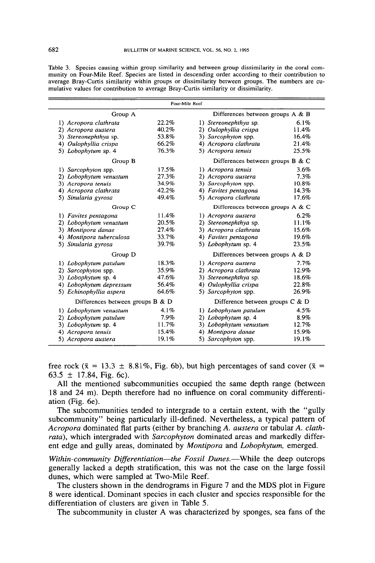|                                             |       | Four-Mile Reef |                                     |       |
|---------------------------------------------|-------|----------------|-------------------------------------|-------|
| Differences between groups A & B<br>Group A |       |                |                                     |       |
| 1) Acropora clathrata                       | 22.2% |                | 1) Stereonephthya sp.               | 6.1%  |
| 2) Acropora austera                         | 40.2% |                | 2) Oulophyllia crispa               | 11.4% |
| 3) Stereonephthya sp.                       | 53.8% |                | 3) Sarcophyton spp.                 | 16.4% |
| 4) Oulophyllia crispa                       | 66.2% |                | 4) Acropora clathrata               | 21.4% |
| 5) Lobophytum sp. 4                         | 76.3% |                | 5) Acropora tenuis                  | 25.5% |
| Group B                                     |       |                | Differences between groups $B \& C$ |       |
| 1) Sarcophyton spp.                         | 17.5% |                | 1) Acropora tenuis                  | 3.6%  |
| 2) Lobophytum venustum                      | 27.3% |                | 2) Acropora austera                 | 7.3%  |
| 3) Acropora tenuis                          | 34.9% |                | 3) Sarcophyton spp.                 | 10.8% |
| 4) Acropora clathrata                       | 42.2% |                | 4) Favites pentagona                | 14.3% |
| 5) Sinularia gyrosa                         | 49.4% |                | 5) Acropora clathrata               | 17.6% |
| Group C                                     |       |                | Differences between groups A & C    |       |
| 1) Favites pentagona                        | 11.4% |                | 1) Acropora austera                 | 6.2%  |
| 2) Lobophytum venustum                      | 20.5% |                | 2) Stereonephthya sp.               | 11.1% |
| 3) Montipora danae                          | 27.4% |                | 3) Acropora clathrata               | 15.6% |
| 4) Montipora tuberculosa                    | 33.7% |                | 4) Favites pentagona                | 19.6% |
| 5) Sinularia gyrosa                         | 39.7% |                | 5) Lobophytum sp. 4                 | 23.5% |
| Group D                                     |       |                | Differences between groups A & D    |       |
| 1) Lobophytum patulum                       | 18.3% |                | 1) Acropora austera                 | 7.7%  |
| 2) Sarcophyton spp.                         | 35.9% |                | 2) Acropora clathrata               | 12.9% |
| 3) Lobophytum sp. 4                         | 47.6% |                | 3) Stereonephthya sp.               | 18.6% |
| 4) Lobophytum depressum                     | 56.4% |                | 4) Oulophyllia crispa               | 22.8% |
| 5) Echinophyllia aspera                     | 64.6% |                | 5) Sarcophyton spp.                 | 26.9% |
| Differences between groups $B \& D$         |       |                | Difference between groups $C & D$   |       |
| 1) Lobophytum venustum                      | 4.1%  |                | 1) Lobophytum patulum               | 4.5%  |
| 2) Lobophytum patulum                       | 7.9%  |                | 2) Lobophytum sp. 4                 | 8.9%  |
| 3) Lobophytum sp. 4                         | 11.7% |                | 3) Lobophytum venustum              | 12.7% |
| 4) Acropora tenuis                          | 15.4% |                | 4) Montipora danae                  | 15.9% |
| 5) Acropora austera                         | 19.1% |                | 5) Sarcophyton spp.                 | 19.1% |

Table 3. Species causing within group similarity and between group dissimilarity in the coral community on Four-Mile Reef. Species are listed in descending order according to their contribution to average Bray-Curtis similarity within groups or dissimilarity between groups, The numbers are cumulative values for contribution to average Bray-Curtis similarity or dissimilarity.

free rock ( $\bar{x}$  = 13.3  $\pm$  8.81%, Fig. 6b), but high percentages of sand cover ( $\bar{x}$  = 63.5  $\pm$  17.84, Fig. 6c).

All the mentioned subcommunities occupied the same depth range (between 18 and 24 m). Depth therefore had no influence on coral community differentiation (Fig. 6e).

The subcommunities tended to intergrade to a certain extent, with the "gully subcommunity" being particularly ill-defined. Nevertheless, a typical pattern of *Acropora* dominated flat parts (either by branching *A. austera* or tabular *A. clathrata),* which intergraded with *Sarcophyton* dominated areas and markedly different edge and gully areas, dominated by *Montipora* and *Lobophytum,* emerged.

*Within-community Differentiation-the Fossil Dunes.-While* the deep outcrops generally lacked a depth stratification, this was not the case on the large fossil dunes, which were sampled at Two-Mile Reef.

The clusters shown in the dendrograms in Figure 7 and the MDS plot in Figure 8 were identical. Dominant species in each cluster and species responsible for the differentiation of clusters are given in Table 5.

The subcommunity in cluster A was characterized by sponges, sea fans of the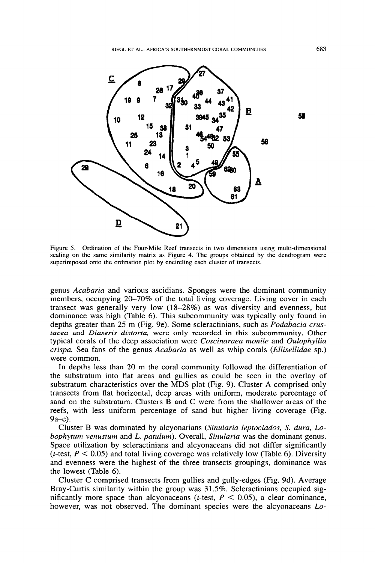

Figure 5. Ordination of the Four-Mile Reef transects in two dimensions using multi-dimensional scaling on the same similarity matrix as Figure 4. The groups obtained by the dendrogram were superimposed onto the ordination plot by encircling each cluster of transects.

genus *Acabaria* and various ascidians. Sponges were the dominant community members, occupying 20–70% of the total living coverage. Living cover in each transect was generally very low (18-28%) as was diversity and evenness, but dominance was high (Table 6). This subcommunity was typically only found in depths greater than 25 m (Fig. ge). Some sc1eractinians, such as *Podabacia crustacea* and *Diaseris distorta,* were only recorded in this subcommunity. Other typical corals of the deep association were *Coscinaraea monile* and *Oulophyllia crispa.* Sea fans of the genus *Acabaria* as well as whip corals *(Ellisellidae* sp.) were common.

In depths less than 20 m the coral community followed the differentiation of the substratum into flat areas and gullies as could be seen in the overlay of substratum characteristics over the MDS plot (Fig. 9). Cluster A comprised only transects from flat horizontal, deep areas with uniform, moderate percentage of sand on the substratum. Clusters B and C were from the shallower areas of the reefs, with less uniform percentage of sand but higher living coverage (Fig. 9a-e).

Cluster B was dominated by a1cyonarians *(Sinularia leptoclados,* S. *dura, Lobophytum venustum* and *L. patulum).* Overall, *Sinularia* was the dominant genus. Space utilization by scleractinians and alcyonaceans did not differ significantly (*t*-test,  $P < 0.05$ ) and total living coverage was relatively low (Table 6). Diversity and evenness were the highest of the three transects groupings, dominance was the lowest (Table 6).

Cluster C comprised transects from gullies and gully-edges (Fig. 9d). Average Bray-Curtis similarity within the group was 31.5%. Scleractinians occupied significantly more space than alcyonaceans  $(t$ -test,  $P < 0.05$ ), a clear dominance, however, was not observed. The dominant species were the a1cyonaceans *Lo-*

683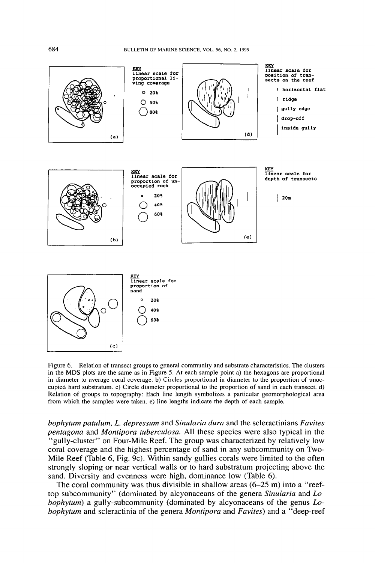

Figure 6. Relation of transect groups to general community and substrate characteristics. The clusters in the MDS plots are the same as in Figure 5. At each sample point a) the hexagons are proportional in diameter to average coral coverage. b) Circles proportional in diameter to the proportion of unoccupied hard substratum. c) Circle diameter proportional to the proportion of sand in each transect. d) Relation of groups to topography: Each line length symbolizes a particular geomorphological area from which the samples were taken. e) line lengths indicate the depth of each sample.

*bophytum patulum, L. depressum* and *Sinularia dura* and the scleractinians *Favites pentagona* and *Montipora tuberculosa.* All these species were also typical in the "gully-cluster" on Four-Mile Reef. The group was characterized by relatively low coral coverage and the highest percentage of sand in any subcommunity on Two-Mile Reef (Table 6, Fig. 9c). Within sandy gullies corals were limited to the often strongly sloping or near vertical walls or to hard substratum projecting above the sand. Diversity and evenness were high, dominance low (Table 6).

The coral community was thus divisible in shallow areas (6-25 m) into a "reeftop subcommunity'" (dominated by alcyonaceans of the genera *Sinularia* and *Lobophytum)* a gully-subcommunity (dominated by alcyonaceans of the genus *Lobophytum* and scleractinia of the genera *Montipora* and *Favites)* and a "deep-reef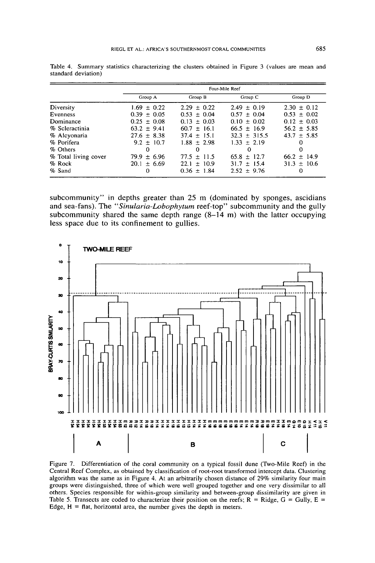|                      | Four-Mile Reef  |                 |                  |                 |
|----------------------|-----------------|-----------------|------------------|-----------------|
|                      | Group A         | Group B         | Group C          | Group D         |
| Diversity            | $1.69 \pm 0.22$ | $2.29 \pm 0.22$ | $2.49 \pm 0.19$  | $2.30 \pm 0.12$ |
| Evenness             | $0.39 + 0.05$   | $0.53 \pm 0.04$ | $0.57 \pm 0.04$  | $0.53 \pm 0.02$ |
| Dominance            | $0.25 \pm 0.08$ | $0.13 \pm 0.03$ | $0.10 \pm 0.02$  | $0.12 \pm 0.03$ |
| % Scleractinia       | $63.2 \pm 9.41$ | $60.7 + 16.1$   | $66.5 \pm 16.9$  | $56.2 \pm 5.85$ |
| % Alcyonaria         | $27.6 \pm 8.38$ | $37.4 \pm 15.1$ | $32.3 \pm 315.5$ | $43.7 \pm 5.85$ |
| % Porifera           | $9.2 \pm 10.7$  | $1.88 + 2.98$   | $1.33 \pm 2.19$  | O               |
| % Others             | 0               | 0               | 0                | 0               |
| % Total living cover | $79.9 \pm 6.96$ | $77.5 \pm 11.5$ | $65.8 \pm 12.7$  | $66.2 \pm 14.9$ |
| % Rock               | $20.1 \pm 6.69$ | $22.1 \pm 10.9$ | $31.7 \pm 15.4$  | $31.3 \pm 10.6$ |
| % Sand               | 0               | $0.36 \pm 1.84$ | $2.52 \pm 9.76$  | 0               |

Table 4, Summary statistics characterizing the clusters obtained in Figure 3 (values are mean and standard deviation)

subcommunity" in depths greater than 25 m (dominated by sponges, ascidians and sea-fans). The *"Sinularia-Lobophytum* reef-top" subcommunity and the gully subcommunity shared the same depth range  $(8-14 \text{ m})$  with the latter occupyin less space due to its confinement to gullies.



Figure 7. Differentiation of the coral community on a typical fossil dune (Two-Mile Reef) in the Central Reef Complex, as obtained by classification of root-root transformed intercept data. Clustering algorithm was the same as in Figure 4. At an arbitrarily chosen distance of 29% similarity four main groups were distinguished, three of which were well grouped together and one very dissimilar to all others. Species responsible for within-group similarity and between-group dissimilarity are given in Table 5. Transects are coded to characterize their position on the reefs;  $\overline{R}$  = Ridge,  $\overline{G}$  = Gully,  $\overline{E}$  = Edge,  $H = flat$ , horizontal area, the number gives the depth in meters.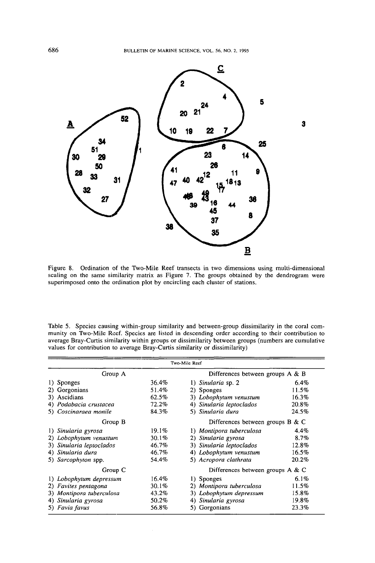BULLETIN OF MARINE SCIENCE. VOL. 56. NO.2. 1995



Figure 8. Ordination of the Two-Mile Reef transects in two dimensions using multi-dimensional scaling on the same similarity matrix as Figure 7. The groups obtained by the dendrogram were superimposed onto the ordination plot by encircling each cluster of stations.

Table 5. Species causing within-group similarity and between-group dissimilarity in the coral community on Two-Mile Reef. Species are listed in descending order according to their contribution to average Bray-Curtis similarity within groups or dissimilarity between groups (numbers are cumulative values for contribution to average Bray-Curtis similarity or dissimilarity)

| Two-Mile Reef            |       |                                     |         |  |  |  |
|--------------------------|-------|-------------------------------------|---------|--|--|--|
| Group A                  |       | Differences between groups $A \& B$ |         |  |  |  |
| 1) Sponges               | 36.4% | 1) Sinularia sp. 2                  | 6.4%    |  |  |  |
| 2) Gorgonians            | 51.4% | 2) Sponges                          | 11.5%   |  |  |  |
| 3) Ascidians             | 62.5% | 3) Lobophytum venustum              | 16.3%   |  |  |  |
| 4) Podabacia crustacea   | 72.2% | 4) Sinularia leptoclados            | 20.8%   |  |  |  |
| 5) Coscinaraea monile    | 84.3% | 5) Sinularia dura                   | 24.5%   |  |  |  |
| Group B                  |       | Differences between groups $B \& C$ |         |  |  |  |
| 1) Sinularia gyrosa      | 19.1% | 1) Montipora tuberculosa            | $4.4\%$ |  |  |  |
| 2) Lobophytum venustum   | 30.1% | 2) Sinularia gyrosa                 | 8.7%    |  |  |  |
| 3) Sinularia leptoclados | 46.7% | 3) Sinularia leptoclados            | 12.8%   |  |  |  |
| 4) Sinularia dura        | 46.7% | 4) Lobophytum venustum              | 16.5%   |  |  |  |
| 5) Sarcophyton spp.      | 54.4% | 5) Acropora clathrata               | 20.2%   |  |  |  |
| Group C                  |       | Differences between groups $A \& C$ |         |  |  |  |
| 1) Lobophytum depressum  | 16.4% | 1) Sponges                          | 6.1%    |  |  |  |
| 2) Favites pentagona     | 30.1% | 2) Montipora tuberculosa            | 11.5%   |  |  |  |
| 3) Montipora tuberculosa | 43.2% | 3) Lobophytum depressum             | 15.8%   |  |  |  |
| 4) Sinularia gyrosa      | 50.2% | 4) Sinularia gyrosa                 | 19.8%   |  |  |  |
| 5) Favia favus           | 56.8% | Gorgonians                          | 23.3%   |  |  |  |

686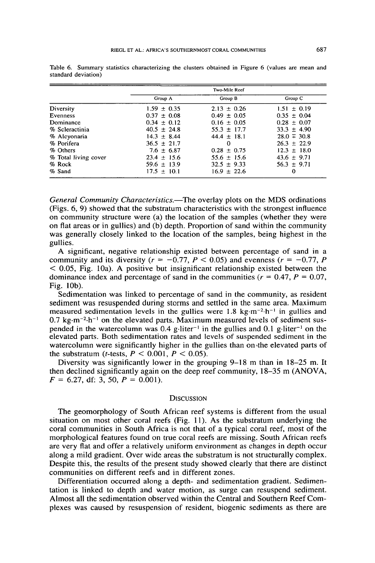|                      | Two-Mile Reef   |                 |                  |  |
|----------------------|-----------------|-----------------|------------------|--|
|                      | Group A         | Group B         | Group C          |  |
| Diversity            | $1.59 \pm 0.35$ | $2.13 \pm 0.26$ | $1.51 \pm 0.19$  |  |
| Evenness             | $0.37 \pm 0.08$ | $0.49 \pm 0.05$ | $0.35 \pm 0.04$  |  |
| Dominance            | $0.34 \pm 0.12$ | $0.16 \pm 0.05$ | $0.28 \pm 0.07$  |  |
| % Scleractinia       | $40.5 \pm 24.8$ | $55.3 \pm 17.7$ | $33.3 \pm 4.90$  |  |
| % Alcyonaria         | $14.3 + 8.44$   | $44.4 \pm 18.1$ | $28.0 \div 30.8$ |  |
| % Porifera           | $36.5 \pm 21.7$ | Ω               | $26.3 \pm 22.9$  |  |
| % Others             | $7.6 \pm 6.87$  | $0.28 \pm 0.75$ | $12.3 \pm 18.0$  |  |
| % Total living cover | $23.4 \pm 15.6$ | $55.6 \pm 15.6$ | $43.6 \pm 9.71$  |  |
| % Rock               | $59.6 \pm 13.9$ | $32.5 \pm 9.33$ | $56.3 \pm 9.71$  |  |
| % Sand               | $17.5 \pm 10.1$ | $16.9 \pm 22.6$ | $\Omega$         |  |

Table 6. Summary statistics characterizing the clusters obtained in Figure 6 (values are mean and standard deviation)

*General Community Characteristics.*—The overlay plots on the MDS ordinations (Figs. 6, 9) showed that the substratum characteristics with the strongest influence on community structure were (a) the location of the samples (whether they were on flat areas or in gullies) and (b) depth. Proportion of sand within the community was generally closely linked to the location of the samples, being highest in the gullies.

A significant, negative relationship existed between percentage of sand in a community and its diversity  $(r = -0.77, P < 0.05)$  and evenness  $(r = -0.77, P$  $<$  0.05, Fig. 10a). A positive but insignificant relationship existed between the dominance index and percentage of sand in the communities  $(r = 0.47, P = 0.07, P = 0.07)$ Fig. lOb).

Sedimentation was linked to percentage of sand in the community, as resident sediment was resuspended during storms and settled in the same area. Maximum measured sedimentation levels in the gullies were 1.8 kg·m<sup>-2</sup>·h<sup>-1</sup> in gullies and 0.7 kg $\cdot$ m<sup>-2</sup> $\cdot$ h<sup>-1</sup> on the elevated parts. Maximum measured levels of sediment suspended in the watercolumn was  $0.4$  g $\cdot$ liter<sup>-1</sup> in the gullies and  $0.1$  g $\cdot$ liter<sup>-1</sup> on the elevated parts. Both sedimentation rates and levels of suspended sediment in the watercolumn were significantly higher in the gullies than on the elevated parts of the substratum (*t*-tests,  $P < 0.001$ ,  $P < 0.05$ ).

Diversity was significantly lower in the grouping 9-18 m than in 18-25 m. It then declined significantly again on the deep reef community, 18-35 m (ANOVA,  $F = 6.27$ , df: 3, 50,  $P = 0.001$ ).

#### **DISCUSSION**

The geomorphology of South African reef systems is different from the usual situation on most other coral reefs (Fig. 11). As the substratum underlying the coral communities in South Africa is not that of a typical coral reef, most of the morphological features found on true coral reefs are missing. South African reefs are very flat and offer a relatively uniform environment as changes in depth occur along a mild gradient. Over wide areas the substratum is not structurally complex. Despite this, the results of the present study showed clearly that there are distinct communities on different reefs and in different zones.

Differentiation occurred along a depth- and sedimentation gradient. Sedimentation is linked to depth and water motion, as surge can resuspend sediment. Almost all the sedimentation observed within the Central and Southern Reef Complexes was caused by resuspension of resident, biogenic sediments as there are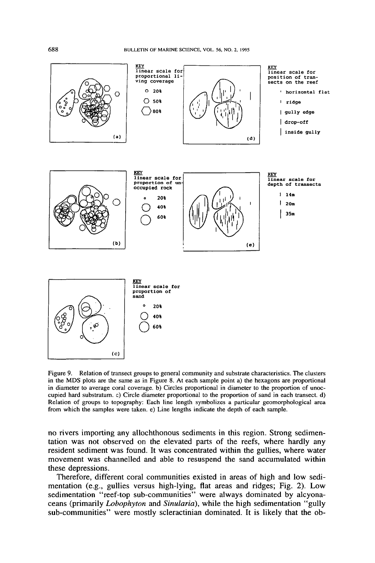BULLEflN OF MARINE SCIENCE, VOL. 56, NO.2, 1995



Figure 9. Relation of transect groups to general community and substrate characteristics. The clusters in the MDS plots are the same as in Figure 8. At each sample point a) the hexagons are proportional in diameter to average coral coverage. b) Circles proportional in diameter to the proportion of unoccupied hard substratum. c) Circle diameter proportional to the proportion of sand in each transect. d) Relation of groups to topography: Each line length symbolizes a particular geomorphological area from which the samples were taken. e) Line lengths indicate the depth of each sample.

no rivers importing any allochthonous sediments in this region. Strong sedimentation was not observed on the elevated parts of the reefs, where hardly any resident sediment was found. It was concentrated within the gullies, where water movement was channelled and able to resuspend the sand accumulated within these depressions.

Therefore, different coral communities existed in areas of high and low sedimentation (e.g., gullies versus high-lying, flat areas and ridges; Fig. 2). Low sedimentation "reef-top sub-communities" were always dominated by alcyonaceans (primarily *Lobophyton:* and *Sinularia),* while the high sedimentation "gully sub-communities" were mostly scleractinian dominated. It is likely that the ob-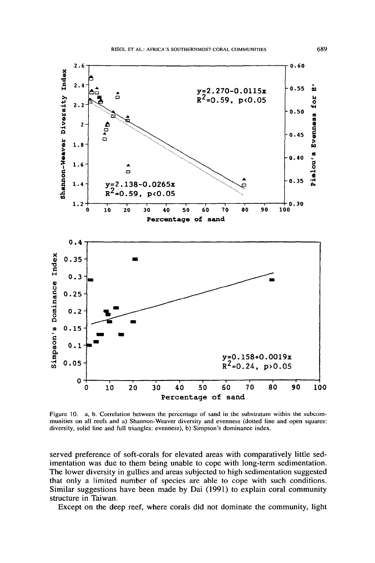

Figure 10. a, b. Correlation between the percentage of sand in the substratum within the subcommunities on all reefs and a) Shannon-Weaver diversity and evenness (dotted line and open squares: diversity, solid line and full triangles: evenness), b) Simpson's dominance index.

served preference of soft-corals for elevated areas with comparatively little sedimentation was due to them being unable to cope with long-term sedimentation. The lower diversity in gullies and areas subjected to high sedimentation suggested that only a limited number of species are able to cope with such conditions. Similar suggestions have been made by Oai (1991) to explain coral community structure in Taiwan.

Except on the deep reef, where corals did not dominate the community, light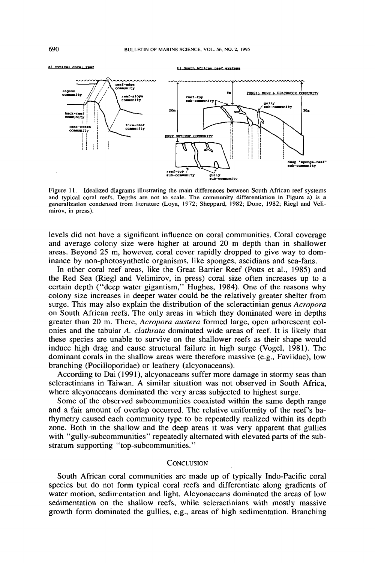#### a) typical coral rest

**bl Sout:hAfrican reef .VIIteaa**



Figure 11. Idealized diagrams illustrating the main differences between South African reef systems and typical coral reefs. Depths are not to scale. The community differentiation in Figure a) is a generalization condensed from literature (Loya, 1972; Sheppard, 1982; Done, 1982; Riegl and Velimirov, in press).

levels did not have a significant influence on coral communities. Coral coverage and average colony size were higher at around 20 m depth than in shallower areas. Beyond 25 m, however, coral cover rapidly dropped to give way to dominance by non-photosynthetic organisms, like sponges, ascidians and sea-fans.

In other coral reef areas, like the Great Barrier Reef (Potts et aI., 1985) and the Red Sea (Riegl and Velimirov, in press) coral size often increases up to a certain depth ("deep water gigantism," Hughes, 1984). One of the reasons why colony size increases in deeper water could be the relatively greater shelter from surge. This may also explain the distribution of the scleractinian genus *Acropora* on South African reefs. The only areas in which they dominated were in depths greater than 20 m. There, *Acropora austera* formed large, open arborescent colonies and the tabular *A. clathrata* dominated wide areas of reef. It is likely that these species are unable to survive on the shallower reefs as their shape would induce high drag and cause structural failure in high surge (Vogel, 1981). The dominant corals in the shallow areas were therefore massive (e.g., Faviidae), low branching (Pocilloporidae) or leathery (alcyonaceans).

According to Dai (1991), alcyonaceans suffer more damage in stormy seas than scleractinians in Taiwan. A similar situation was not observed in South Africa, where alcyonaceans dominated the very areas subjected to highest surge.

Some of the observed subcommunities coexisted within the same depth range and a fair amount of overlap occurred. The relative uniformity of the reef's bathymetry caused each community type to be repeatedly realized within its depth zone. Both in the shallow and the deep areas it was very apparent that gullies with "gully-subcommunities" repeatedly alternated with elevated parts of the substratum supporting "top-subcommunities."

#### **CONCLUSION**

South African coral communities are made up of typically Indo-Pacific coral species but do not form typical coral reefs and differentiate along gradients of water motion, sedimentation and light. Alcyonaceans dominated the areas of low sedimentation on the shallow reefs, while scleractinians with mostly massive growth form dominated the gullies, e.g., areas of high sedimentation. Branching